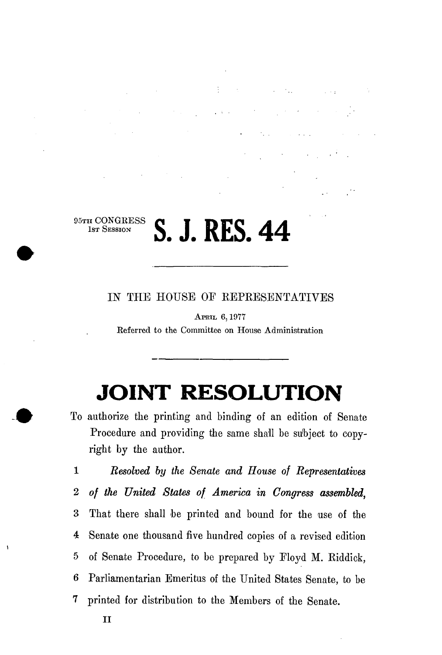$\frac{1}{2}$  ,  $\frac{1}{4}$  ,  $\frac{1}{2}$ 

 $\label{eq:2.1} \mathcal{L}(\mathcal{L}^{\mathcal{L}}(\mathcal{L}^{\mathcal{L}}(\mathcal{L}^{\mathcal{L}}(\mathcal{L}^{\mathcal{L}}(\mathcal{L}^{\mathcal{L}}(\mathcal{L}^{\mathcal{L}}(\mathcal{L}^{\mathcal{L}}(\mathcal{L}^{\mathcal{L}}(\mathcal{L}^{\mathcal{L}}(\mathcal{L}^{\mathcal{L}}(\mathcal{L}^{\mathcal{L}}(\mathcal{L}^{\mathcal{L}}(\mathcal{L}^{\mathcal{L}}(\mathcal{L}^{\mathcal{L}}(\mathcal{L}^{\mathcal{L}}(\mathcal{L}^{\mathcal$ 

 $\sqrt{1+\frac{1}{2}}$ 

### 95TH CONGRESS<br>1st Session 1ST SESSION **S. J. RES. 4 4**

IN THE HOUSE OF REPRESENTATIVES

APRIL 6,1977 Referred to the Committee on House Administration

# **JOINT RESOLUTION**

To authorize the printing and binding of an edition of Senate Procedure and providing the same shall be suhject to copyright by the author.

1 *Resolved by the Senate and House of Representatives*  2 *of the United States of America in Congress assembled,*  3 That there shall be printed and bound for the use of the 4 Senate one thousand five hundred copies of a revised edition 5 of Senate Procedure, to be prepared by Eloyd M. Riddick, 6 Parliamentarian Emeritus of the United States Senate, to be 7 printed for distribution to the Members of the Senate.

 $\overline{1}$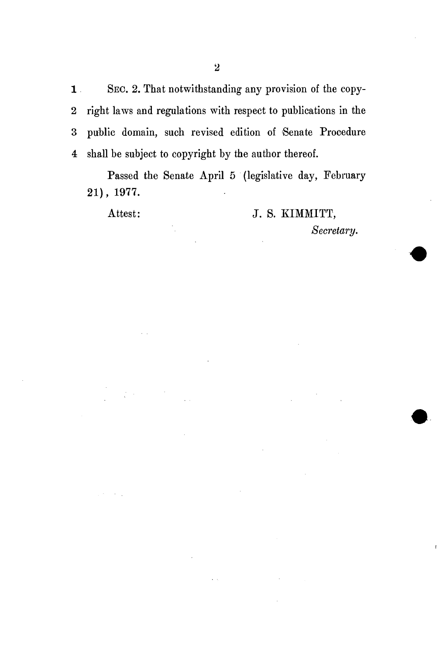1 SEC. 2. That notwithstanding any provision of the copy-2 right laws and regulations with respect to publications in the 3 public domain, such revised edition of Senate Procedure 4 shall be subject to copyright by the author thereof.

Passed the Senate April 5 (legislative day, February 21), 1977.

## Attest: J. S. KIMMITT,

*Secretary.*